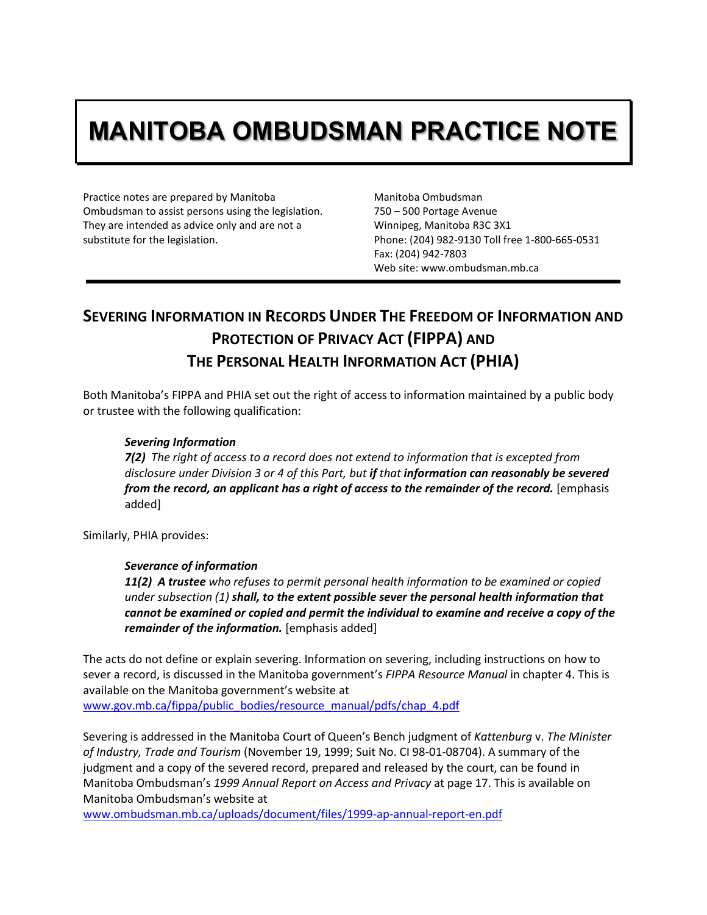# **MANITOBA OMBUDSMAN PRACTICE NOTE**

Practice notes are prepared by Manitoba Ombudsman to assist persons using the legislation. They are intended as advice only and are not a substitute for the legislation.

Manitoba Ombudsman 750 – 500 Portage Avenue Winnipeg, Manitoba R3C 3X1 Phone: (204) 982-9130 Toll free 1-800-665-0531 Fax: (204) 942-7803 Web site: www.ombudsman.mb.ca

# **SEVERING INFORMATION IN RECORDS UNDER THE FREEDOM OF INFORMATION AND PROTECTION OF PRIVACY ACT (FIPPA) AND THE PERSONAL HEALTH INFORMATION ACT (PHIA)**

Both Manitoba's FIPPA and PHIA set out the right of access to information maintained by a public body or trustee with the following qualification:

#### *Severing Information*

*7(2) The right of access to a record does not extend to information that is excepted from disclosure under Division 3 or 4 of this Part, but if that information can reasonably be severed from the record, an applicant has a right of access to the remainder of the record.* [emphasis added]

Similarly, PHIA provides:

#### *Severance of information*

*11(2) A trustee who refuses to permit personal health information to be examined or copied under subsection (1) shall, to the extent possible sever the personal health information that cannot be examined or copied and permit the individual to examine and receive a copy of the remainder of the information.* [emphasis added]

The acts do not define or explain severing. Information on severing, including instructions on how to sever a record, is discussed in the Manitoba government's *FIPPA Resource Manual* in chapter 4. This is available on the Manitoba government's website at [www.gov.mb.ca/fippa/public\\_bodies/resource\\_manual/pdfs/chap\\_4.pdf](http://www.gov.mb.ca/fippa/public_bodies/resource_manual/pdfs/chap_4.pdf)

Severing is addressed in the Manitoba Court of Queen's Bench judgment of *Kattenburg* v. *The Minister of Industry, Trade and Tourism* (November 19, 1999; Suit No. CI 98-01-08704). A summary of the judgment and a copy of the severed record, prepared and released by the court, can be found in Manitoba Ombudsman's *1999 Annual Report on Access and Privacy* at page 17. This is available on Manitoba Ombudsman's website at

[www.ombudsman.mb.ca/uploads/document/files/1999-ap-annual-report-en.pdf](http://www.ombudsman.mb.ca/uploads/document/files/1999-ap-annual-report-en.pdf)